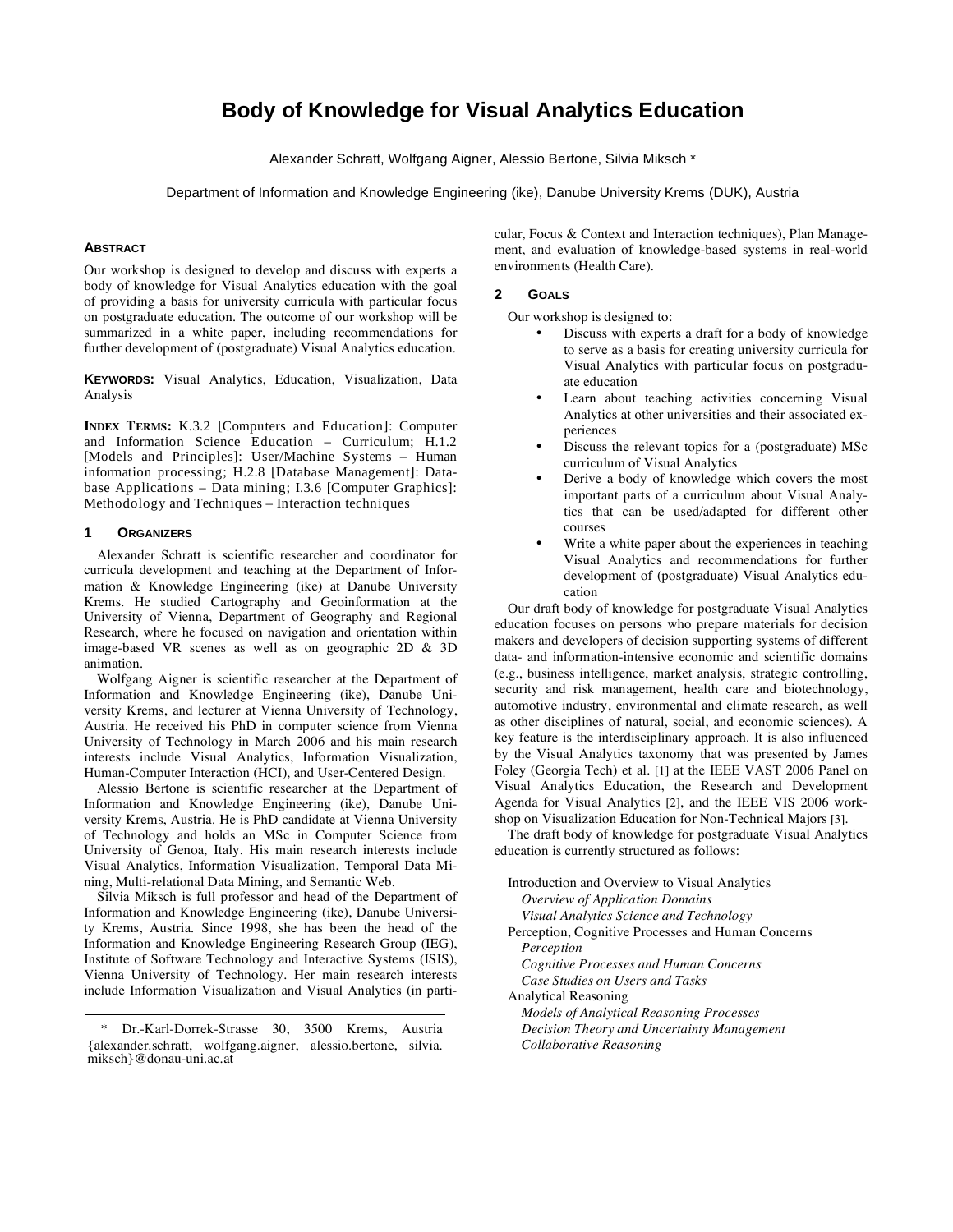# **Body of Knowledge for Visual Analytics Education**

Alexander Schratt, Wolfgang Aigner, Alessio Bertone, Silvia Miksch \*

Department of Information and Knowledge Engineering (ike), Danube University Krems (DUK), Austria

# **ABSTRACT**

Our workshop is designed to develop and discuss with experts a body of knowledge for Visual Analytics education with the goal of providing a basis for university curricula with particular focus on postgraduate education. The outcome of our workshop will be summarized in a white paper, including recommendations for further development of (postgraduate) Visual Analytics education.

**KEYWORDS:** Visual Analytics, Education, Visualization, Data Analysis

**INDEX TERMS:** K.3.2 [Computers and Education]: Computer and Information Science Education – Curriculum; H.1.2 [Models and Principles]: User/Machine Systems – Human information processing; H.2.8 [Database Management]: Database Applications – Data mining; I.3.6 [Computer Graphics]: Methodology and Techniques – Interaction techniques

#### **1 ORGANIZERS**

Alexander Schratt is scientific researcher and coordinator for curricula development and teaching at the Department of Information & Knowledge Engineering (ike) at Danube University Krems. He studied Cartography and Geoinformation at the University of Vienna, Department of Geography and Regional Research, where he focused on navigation and orientation within image-based VR scenes as well as on geographic 2D & 3D animation.

Wolfgang Aigner is scientific researcher at the Department of Information and Knowledge Engineering (ike), Danube University Krems, and lecturer at Vienna University of Technology, Austria. He received his PhD in computer science from Vienna University of Technology in March 2006 and his main research interests include Visual Analytics, Information Visualization, Human-Computer Interaction (HCI), and User-Centered Design.

Alessio Bertone is scientific researcher at the Department of Information and Knowledge Engineering (ike), Danube University Krems, Austria. He is PhD candidate at Vienna University of Technology and holds an MSc in Computer Science from University of Genoa, Italy. His main research interests include Visual Analytics, Information Visualization, Temporal Data Mining, Multi-relational Data Mining, and Semantic Web.

Silvia Miksch is full professor and head of the Department of Information and Knowledge Engineering (ike), Danube University Krems, Austria. Since 1998, she has been the head of the Information and Knowledge Engineering Research Group (IEG), Institute of Software Technology and Interactive Systems (ISIS), Vienna University of Technology. Her main research interests include Information Visualization and Visual Analytics (in particular, Focus & Context and Interaction techniques), Plan Management, and evaluation of knowledge-based systems in real-world environments (Health Care).

## **2 GOALS**

Our workshop is designed to:

- Discuss with experts a draft for a body of knowledge to serve as a basis for creating university curricula for Visual Analytics with particular focus on postgraduate education
- Learn about teaching activities concerning Visual Analytics at other universities and their associated experiences
- Discuss the relevant topics for a (postgraduate) MSc curriculum of Visual Analytics
- Derive a body of knowledge which covers the most important parts of a curriculum about Visual Analytics that can be used/adapted for different other courses
- Write a white paper about the experiences in teaching Visual Analytics and recommendations for further development of (postgraduate) Visual Analytics education

Our draft body of knowledge for postgraduate Visual Analytics education focuses on persons who prepare materials for decision makers and developers of decision supporting systems of different data- and information-intensive economic and scientific domains (e.g., business intelligence, market analysis, strategic controlling, security and risk management, health care and biotechnology, automotive industry, environmental and climate research, as well as other disciplines of natural, social, and economic sciences). A key feature is the interdisciplinary approach. It is also influenced by the Visual Analytics taxonomy that was presented by James Foley (Georgia Tech) et al. [1] at the IEEE VAST 2006 Panel on Visual Analytics Education, the Research and Development Agenda for Visual Analytics [2], and the IEEE VIS 2006 workshop on Visualization Education for Non-Technical Majors [3].

The draft body of knowledge for postgraduate Visual Analytics education is currently structured as follows:

| Introduction and Overview to Visual Analytics      |
|----------------------------------------------------|
| Overview of Application Domains                    |
| Visual Analytics Science and Technology            |
| Perception, Cognitive Processes and Human Concerns |
| Perception                                         |
| Cognitive Processes and Human Concerns             |
| Case Studies on Users and Tasks                    |
| Analytical Reasoning                               |
| <b>Models of Analytical Reasoning Processes</b>    |
| Decision Theory and Uncertainty Management         |
| Collaborative Reasoning                            |
|                                                    |

Dr.-Karl-Dorrek-Strasse 30, 3500 Krems, Austria {alexander.schratt, wolfgang.aigner, alessio.bertone, silvia. miksch}@donau-uni.ac.at